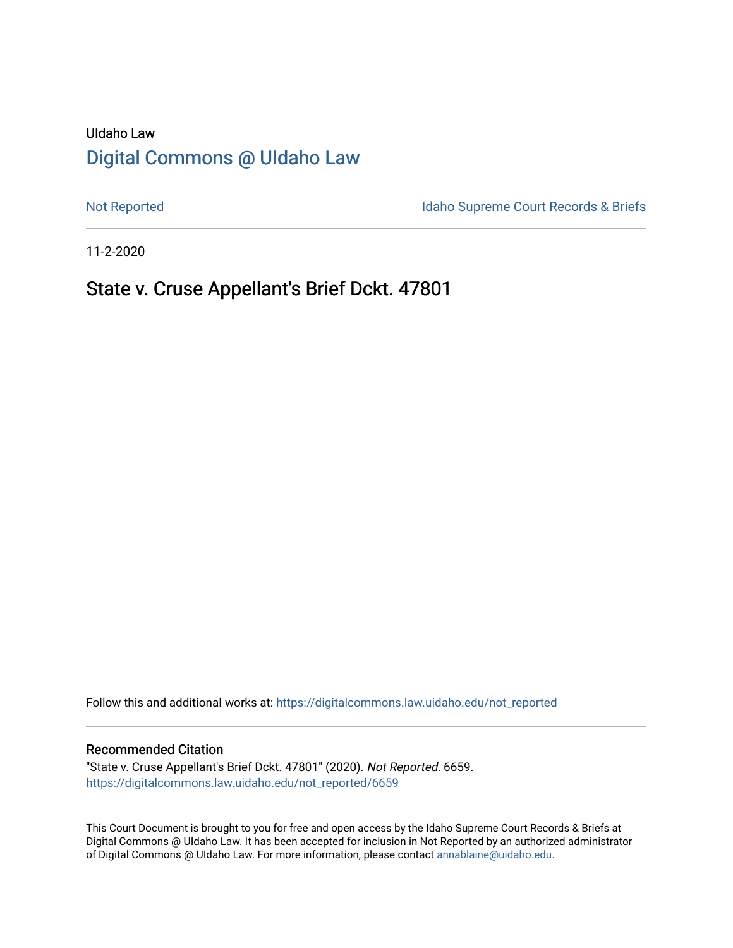# UIdaho Law [Digital Commons @ UIdaho Law](https://digitalcommons.law.uidaho.edu/)

[Not Reported](https://digitalcommons.law.uidaho.edu/not_reported) **Idaho Supreme Court Records & Briefs** 

11-2-2020

# State v. Cruse Appellant's Brief Dckt. 47801

Follow this and additional works at: [https://digitalcommons.law.uidaho.edu/not\\_reported](https://digitalcommons.law.uidaho.edu/not_reported?utm_source=digitalcommons.law.uidaho.edu%2Fnot_reported%2F6659&utm_medium=PDF&utm_campaign=PDFCoverPages) 

#### Recommended Citation

"State v. Cruse Appellant's Brief Dckt. 47801" (2020). Not Reported. 6659. [https://digitalcommons.law.uidaho.edu/not\\_reported/6659](https://digitalcommons.law.uidaho.edu/not_reported/6659?utm_source=digitalcommons.law.uidaho.edu%2Fnot_reported%2F6659&utm_medium=PDF&utm_campaign=PDFCoverPages)

This Court Document is brought to you for free and open access by the Idaho Supreme Court Records & Briefs at Digital Commons @ UIdaho Law. It has been accepted for inclusion in Not Reported by an authorized administrator of Digital Commons @ UIdaho Law. For more information, please contact [annablaine@uidaho.edu](mailto:annablaine@uidaho.edu).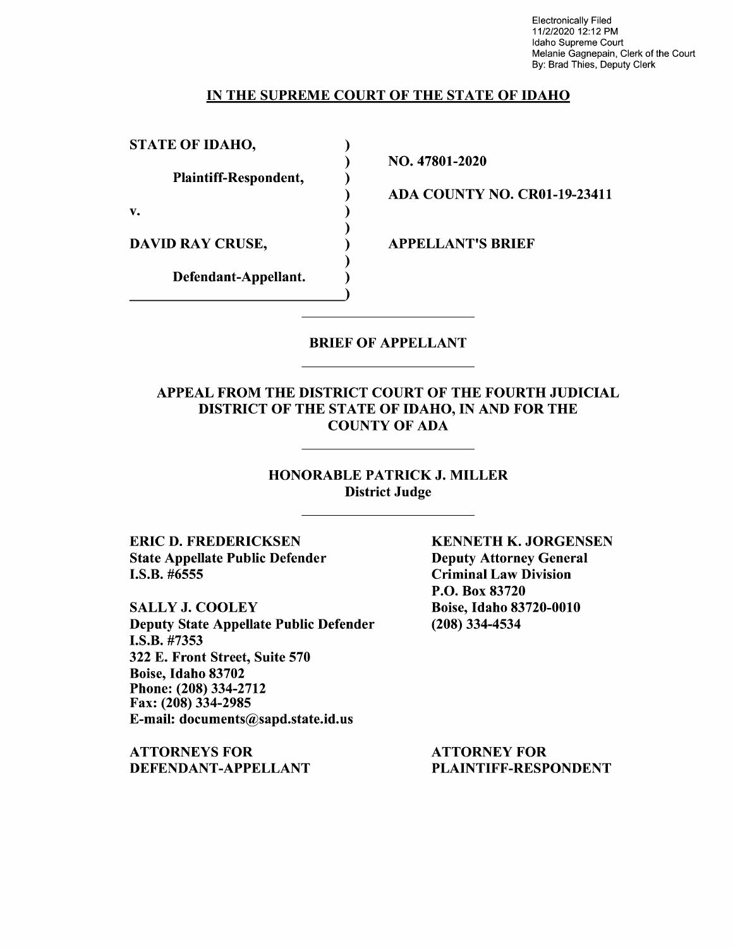Electronically Filed 11/2/2020 12:12 PM Idaho Supreme Court Melanie Gagnepain, Clerk of the Court By: Brad Thies, Deputy Clerk

### IN THE SUPREME COURT OF THE STATE OF IDAHO

) ) ) ) ) ) ) ) )

STATE OF IDAHO,

Plaintiff-Respondent,

v.

DAVID RAY CRUSE,

Defendant-Appellant.

NO. 47801-2020

ADA COUNTY NO. CR0l-19-23411

APPELLANT'S BRIEF

# BRIEF OF APPELLANT

# APPEAL FROM THE DISTRICT COURT OF THE FOURTH JUDICIAL DISTRICT OF THE STATE OF IDAHO, IN AND FOR THE COUNTY OF ADA

# HONORABLE PATRICK J. MILLER District Judge

ERIC D. FREDERICKSEN State Appellate Public Defender I.S.B. #6555

SALLY J. COOLEY Deputy State Appellate Public Defender **I.S.B.** #7353 322 E. Front Street, Suite 570 Boise, Idaho 83702 Phone:(208)334-2712 Fax: (208) 334-2985 E-mail: documents@sapd.state.id.us

**ATTORNEYS FOR DEFENDANT-APPELLANT**  **KENNETH K. JORGENSEN**  Deputy Attorney General Criminal Law Division P.O. Box 83720 Boise, Idaho 83720-0010 (208) 334-4534

ATTORNEY FOR PLAINTIFF-RESPONDENT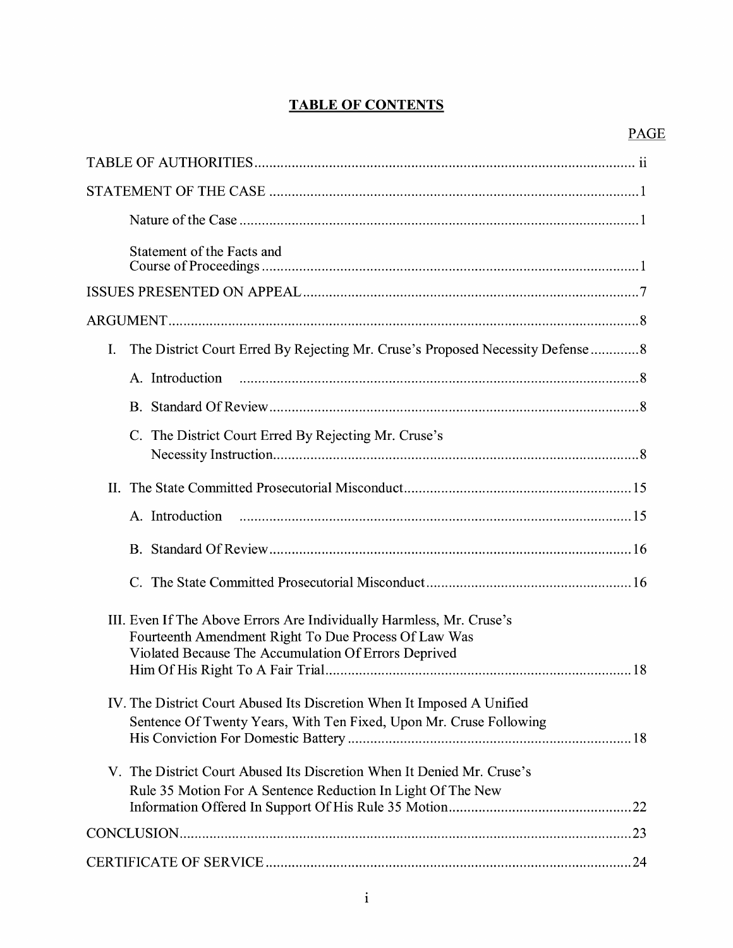# **TABLE OF CONTENTS**

| Statement of the Facts and                                                                                                                                                           |
|--------------------------------------------------------------------------------------------------------------------------------------------------------------------------------------|
|                                                                                                                                                                                      |
|                                                                                                                                                                                      |
| The District Court Erred By Rejecting Mr. Cruse's Proposed Necessity Defense8<br>I.                                                                                                  |
| A. Introduction                                                                                                                                                                      |
|                                                                                                                                                                                      |
| C. The District Court Erred By Rejecting Mr. Cruse's                                                                                                                                 |
|                                                                                                                                                                                      |
|                                                                                                                                                                                      |
|                                                                                                                                                                                      |
|                                                                                                                                                                                      |
| III. Even If The Above Errors Are Individually Harmless, Mr. Cruse's<br>Fourteenth Amendment Right To Due Process Of Law Was<br>Violated Because The Accumulation Of Errors Deprived |
| IV. The District Court Abused Its Discretion When It Imposed A Unified<br>Sentence Of Twenty Years, With Ten Fixed, Upon Mr. Cruse Following                                         |
| V. The District Court Abused Its Discretion When It Denied Mr. Cruse's<br>Rule 35 Motion For A Sentence Reduction In Light Of The New                                                |
|                                                                                                                                                                                      |
|                                                                                                                                                                                      |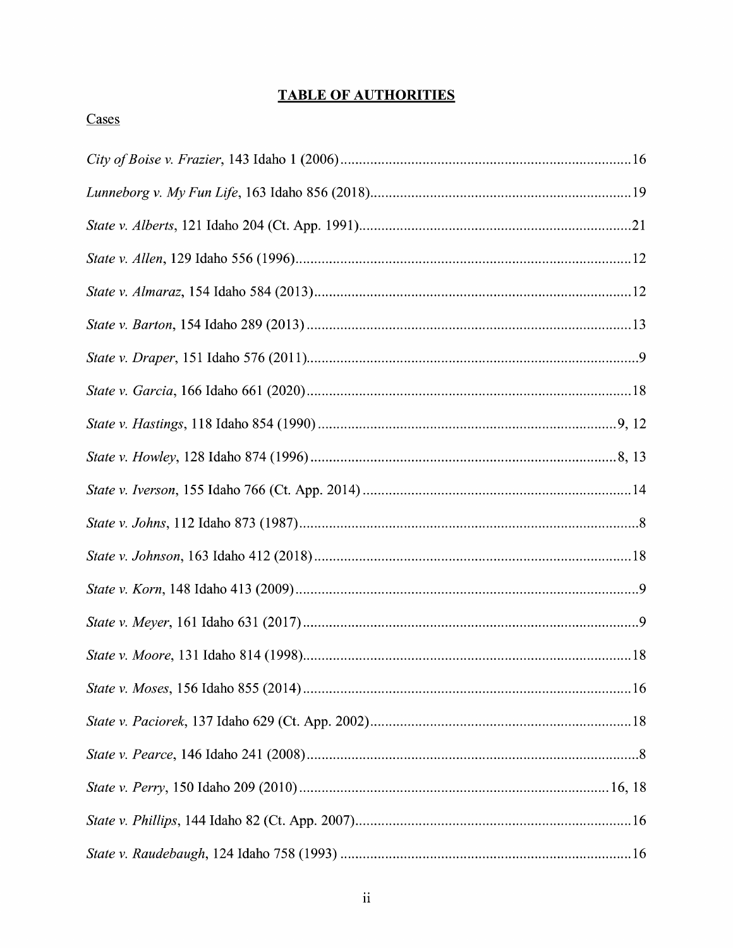# **TABLE OF AUTHORITIES**

# Cases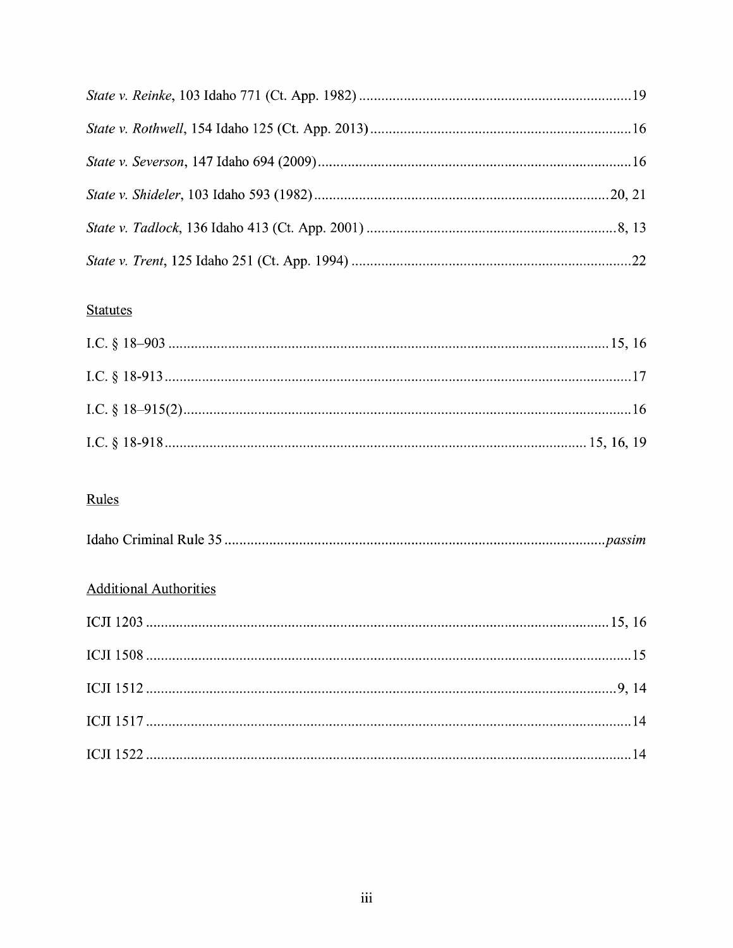# **Statutes**

# Rules

|--|--|--|--|

# **Additional Authorities**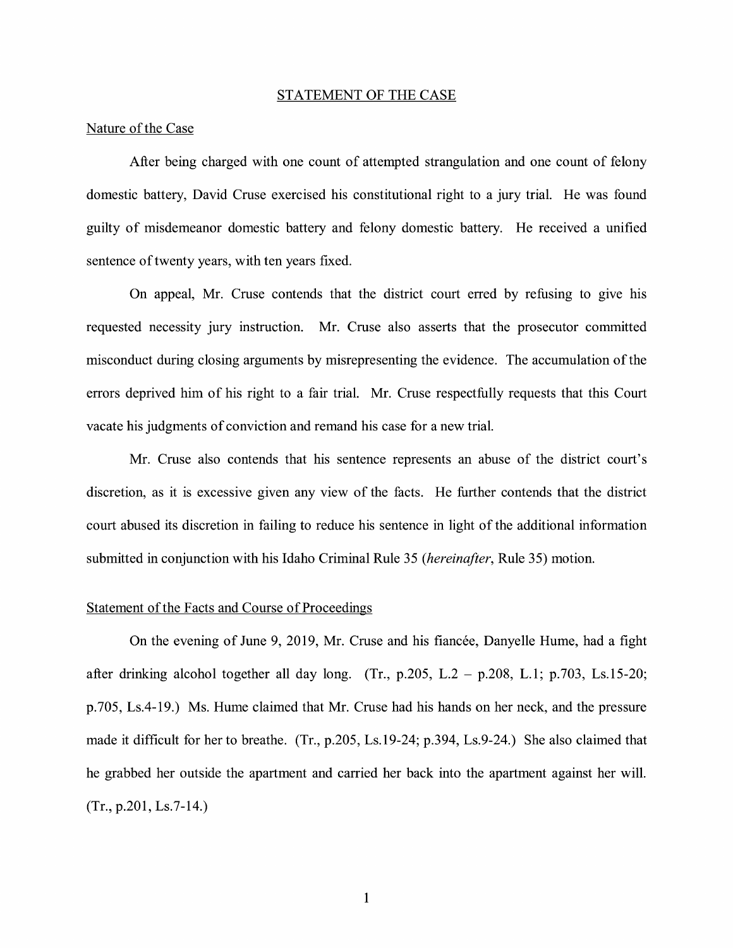#### STATEMENT OF THE CASE

#### Nature of the Case

After being charged with one count of attempted strangulation and one count of felony domestic battery, David Cruse exercised his constitutional right to a jury trial. He was found guilty of misdemeanor domestic battery and felony domestic battery. He received a unified sentence of twenty years, with ten years fixed.

On appeal, Mr. Cruse contends that the district court erred by refusing to give his requested necessity jury instruction. Mr. Cruse also asserts that the prosecutor committed misconduct during closing arguments by misrepresenting the evidence. The accumulation of the errors deprived him of his right to a fair trial. Mr. Cruse respectfully requests that this Court vacate his judgments of conviction and remand his case for a new trial.

Mr. Cruse also contends that his sentence represents an abuse of the district court's discretion, as it is excessive given any view of the facts. He further contends that the district court abused its discretion in failing to reduce his sentence in light of the additional information submitted in conjunction with his Idaho Criminal Rule 35 (*hereinafter*, Rule 35) motion.

#### Statement of the Facts and Course of Proceedings

On the evening of June 9, 2019, Mr. Cruse and his fiancée, Danyelle Hume, had a fight after drinking alcohol together all day long. (Tr., p.205, L.2 – p.208, L.1; p.703, Ls.15-20; p.705, Ls.4-19.) Ms. Hume claimed that Mr. Cruse had his hands on her neck, and the pressure made it difficult for her to breathe. (Tr., p.205, Ls.19-24; p.394, Ls.9-24.) She also claimed that he grabbed her outside the apartment and carried her back into the apartment against her will. (Tr., p.201, Ls.7-14.)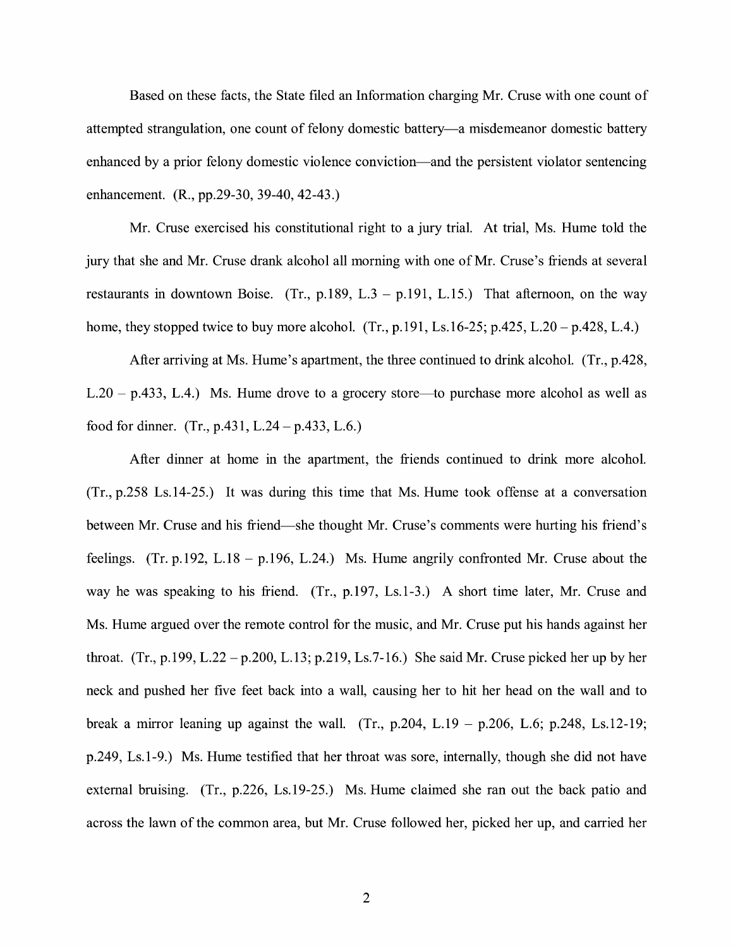Based on these facts, the State filed an Information charging Mr. Cruse with one count of attempted strangulation, one count of felony domestic battery-a misdemeanor domestic battery enhanced by a prior felony domestic violence conviction-and the persistent violator sentencing enhancement. (R., pp.29-30, 39-40, 42-43.)

Mr. Cruse exercised his constitutional right to a jury trial. At trial, Ms. Hume told the jury that she and Mr. Cruse drank alcohol all morning with one of Mr. Cruse's friends at several restaurants in downtown Boise. (Tr., p.189, L.3 – p.191, L.15.) That afternoon, on the way home, they stopped twice to buy more alcohol.  $(Tr, p.191, Ls.16-25; p.425, L.20 - p.428, L.4.)$ 

After arriving at Ms. Hume's apartment, the three continued to drink alcohol. (Tr., p.428,  $L.20 - p.433$ ,  $L.4$ .) Ms. Hume drove to a grocery store—to purchase more alcohol as well as food for dinner. (Tr., p.431, L.24 – p.433, L.6.)

After dinner at home in the apartment, the friends continued to drink more alcohol. (Tr., p.258 Ls.14-25.) It was during this time that Ms. Hume took offense at a conversation between Mr. Cruse and his friend—she thought Mr. Cruse's comments were hurting his friend's feelings. (Tr. p.192, L.18 – p.196, L.24.) Ms. Hume angrily confronted Mr. Cruse about the way he was speaking to his friend. (Tr., p.197, Ls.1-3.) A short time later, Mr. Cruse and Ms. Hume argued over the remote control for the music, and Mr. Cruse put his hands against her throat. (Tr., p.199, L.22 – p.200, L.13; p.219, Ls.7-16.) She said Mr. Cruse picked her up by her neck and pushed her five feet back into a wall, causing her to hit her head on the wall and to break a mirror leaning up against the wall. (Tr., p.204, L.19 – p.206, L.6; p.248, Ls.12-19; p.249, Ls.1-9.) Ms. Hume testified that her throat was sore, internally, though she did not have external bruising. (Tr., p.226, Ls.19-25.) Ms. Hume claimed she ran out the back patio and across the lawn of the common area, but Mr. Cruse followed her, picked her up, and carried her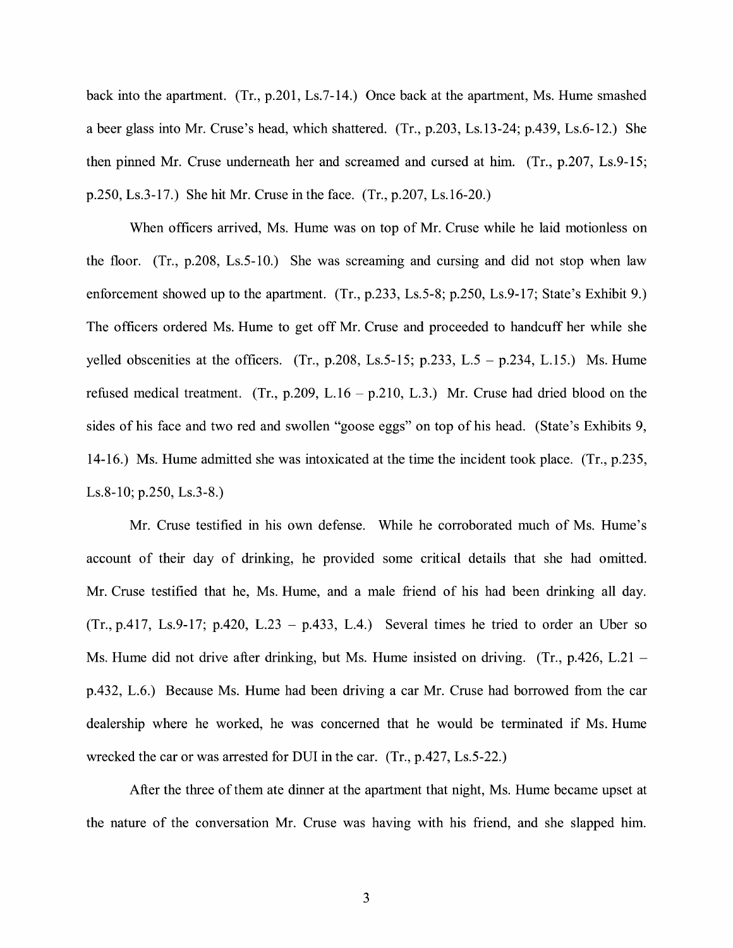back into the apartment. (Tr., p.201, Ls.7-14.) Once back at the apartment, Ms. Hume smashed a beer glass into Mr. Cruse's head, which shattered. (Tr., p.203, Ls.13-24; p.439, Ls.6-12.) She then pinned Mr. Cruse underneath her and screamed and cursed at him. (Tr., p.207, Ls.9-15; p.250, Ls.3-17.) She hit Mr. Cruse in the face. (Tr., p.207, Ls.16-20.)

When officers arrived, Ms. Hume was on top of Mr. Cruse while he laid motionless on the floor. (Tr., p.208, Ls.5-10.) She was screaming and cursing and did not stop when law enforcement showed up to the apartment. (Tr., p.233, Ls.5-8; p.250, Ls.9-17; State's Exhibit 9.) The officers ordered Ms. Hume to get off Mr. Cruse and proceeded to handcuff her while she yelled obscenities at the officers. (Tr., p.208, Ls. 5 - 15; p.233, L.  $5 - p.234$ , L. 15.) Ms. Hume refused medical treatment. (Tr., p.209, L.16 – p.210, L.3.) Mr. Cruse had dried blood on the sides of his face and two red and swollen "goose eggs" on top of his head. (State's Exhibits 9, 14-16.) Ms. Hume admitted she was intoxicated at the time the incident took place. (Tr., p.235, Ls.8-10; p.250, Ls.3-8.)

Mr. Cruse testified in his own defense. While he corroborated much of Ms. Hume's account of their day of drinking, he provided some critical details that she had omitted. Mr. Cruse testified that he, Ms. Hume, and a male friend of his had been drinking all day.  $(Tr., p.417, Ls.9-17; p.420, L.23 - p.433, L.4.)$  Several times he tried to order an Uber so Ms. Hume did not drive after drinking, but Ms. Hume insisted on driving. (Tr., p.426, L.21 – p.432, L.6.) Because Ms. Hume had been driving a car Mr. Cruse had borrowed from the car dealership where he worked, he was concerned that he would be terminated if Ms. Hume wrecked the car or was arrested for DUI in the car. (Tr., p.427, Ls.5-22.)

After the three of them ate dinner at the apartment that night, Ms. Hume became upset at the nature of the conversation Mr. Cruse was having with his friend, and she slapped him.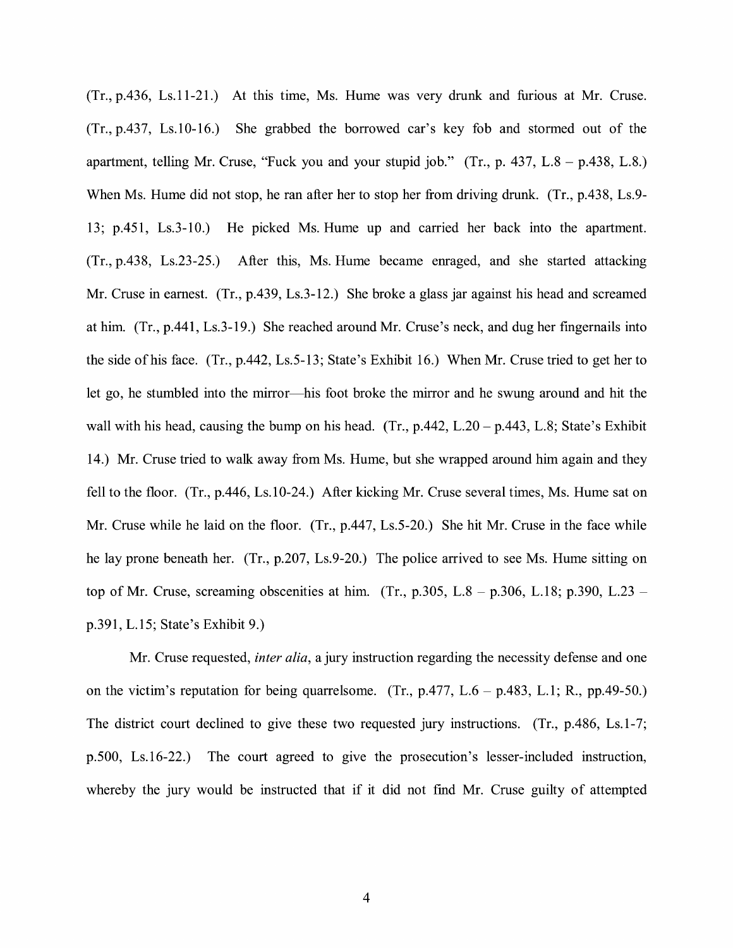(Tr., p.436, Ls.11-21.) At this time, Ms. Hume was very drunk and furious at Mr. Cruse. (Tr., p.437, Ls.10-16.) She grabbed the borrowed car's key fob and stormed out of the apartment, telling Mr. Cruse, "Fuck you and your stupid job."  $(Tr, p. 437, L.8 - p.438, L.8.)$ When Ms. Hume did not stop, he ran after her to stop her from driving drunk. (Tr., p.438, Ls.9-13; p.451, Ls.3-10.) He picked Ms. Hume up and carried her back into the apartment. (Tr., p.438, Ls.23-25.) After this, Ms. Hume became enraged, and she started attacking Mr. Cruse in earnest. (Tr., p.439, Ls.3-12.) She broke a glass jar against his head and screamed at him. (Tr., p.441, Ls.3-19.) She reached around Mr. Cruse's neck, and dug her fingernails into the side of his face. (Tr., p.442, Ls.5-13; State's Exhibit 16.) When Mr. Cruse tried to get her to let go, he stumbled into the mirror-his foot broke the mirror and he swung around and hit the wall with his head, causing the bump on his head. (Tr.,  $p.442$ ,  $L.20 - p.443$ ,  $L.8$ ; State's Exhibit 14.) Mr. Cruse tried to walk away from Ms. Hume, but she wrapped around him again and they fell to the floor. (Tr., p.446, Ls.10-24.) After kicking Mr. Cruse several times, Ms. Hume sat on Mr. Cruse while he laid on the floor. (Tr., p.447, Ls.5-20.) She hit Mr. Cruse in the face while he lay prone beneath her. (Tr., p.207, Ls.9-20.) The police arrived to see Ms. Hume sitting on top of Mr. Cruse, screaming obscenities at him. (Tr., p.305, L.8 – p.306, L.18; p.390, L.23 – p.391, L. 15; State's Exhibit 9.)

Mr. Cruse requested, *inter alia,* a jury instruction regarding the necessity defense and one on the victim's reputation for being quarrelsome. (Tr.,  $p.477$ ,  $L.6 - p.483$ , L.1; R.,  $pp.49-50$ .) The district court declined to give these two requested jury instructions. (Tr., p.486, Ls.1-7; p.500, Ls.16-22.) The court agreed to give the prosecution's lesser-included instruction, whereby the jury would be instructed that if it did not find Mr. Cruse guilty of attempted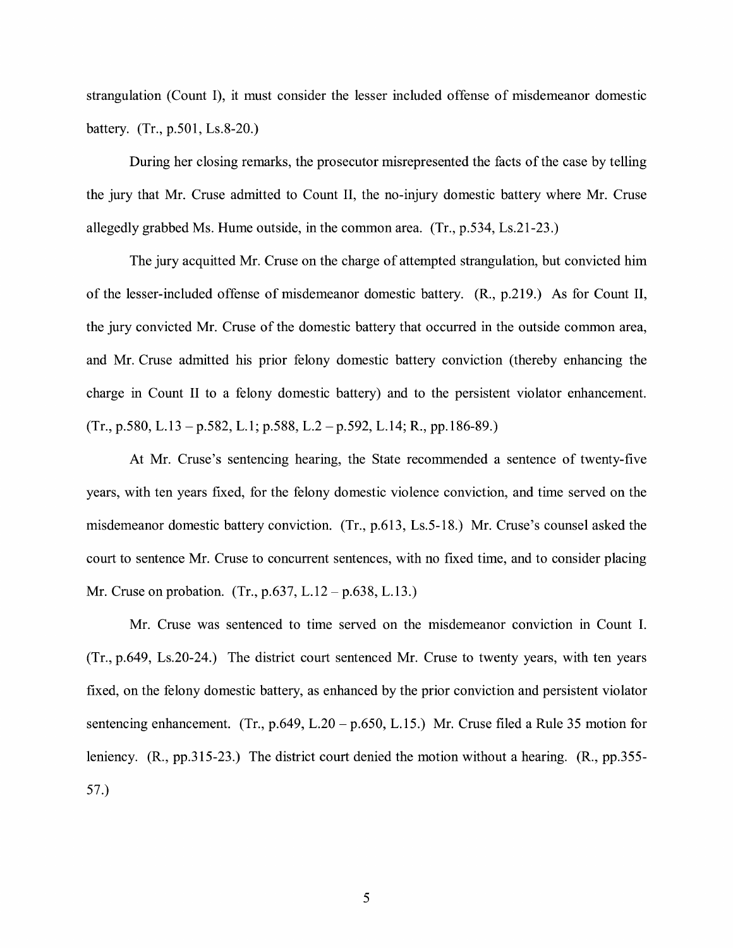strangulation (Count I), it must consider the lesser included offense of misdemeanor domestic battery. (Tr., p.501, Ls.8-20.)

During her closing remarks, the prosecutor misrepresented the facts of the case by telling the jury that Mr. Cruse admitted to Count II, the no-injury domestic battery where Mr. Cruse allegedly grabbed Ms. Hume outside, in the common area. (Tr., p.534, Ls.21-23.)

The jury acquitted Mr. Cruse on the charge of attempted strangulation, but convicted him of the lesser-included offense of misdemeanor domestic battery. (R., p.219.) As for Count II, the jury convicted Mr. Cruse of the domestic battery that occurred in the outside common area, and Mr. Cruse admitted his prior felony domestic battery conviction (thereby enhancing the charge in Count II to a felony domestic battery) and to the persistent violator enhancement.  $(Tr., p.580, L.13 - p.582, L.1; p.588, L.2 - p.592, L.14; R., pp.186-89.)$ 

At Mr. Cruse's sentencing hearing, the State recommended a sentence of twenty-five years, with ten years fixed, for the felony domestic violence conviction, and time served on the misdemeanor domestic battery conviction. (Tr., p.613, Ls.5-18.) Mr. Cruse's counsel asked the court to sentence Mr. Cruse to concurrent sentences, with no fixed time, and to consider placing Mr. Cruse on probation. (Tr., p.637, L.12 – p.638, L.13.)

Mr. Cruse was sentenced to time served on the misdemeanor conviction in Count I. (Tr., p.649, Ls.20-24.) The district court sentenced Mr. Cruse to twenty years, with ten years fixed, on the felony domestic battery, as enhanced by the prior conviction and persistent violator sentencing enhancement. (Tr., p.649, L.20 – p.650, L.15.) Mr. Cruse filed a Rule 35 motion for leniency. (R., pp.315-23.) The district court denied the motion without a hearing. (R., pp.355- 57.)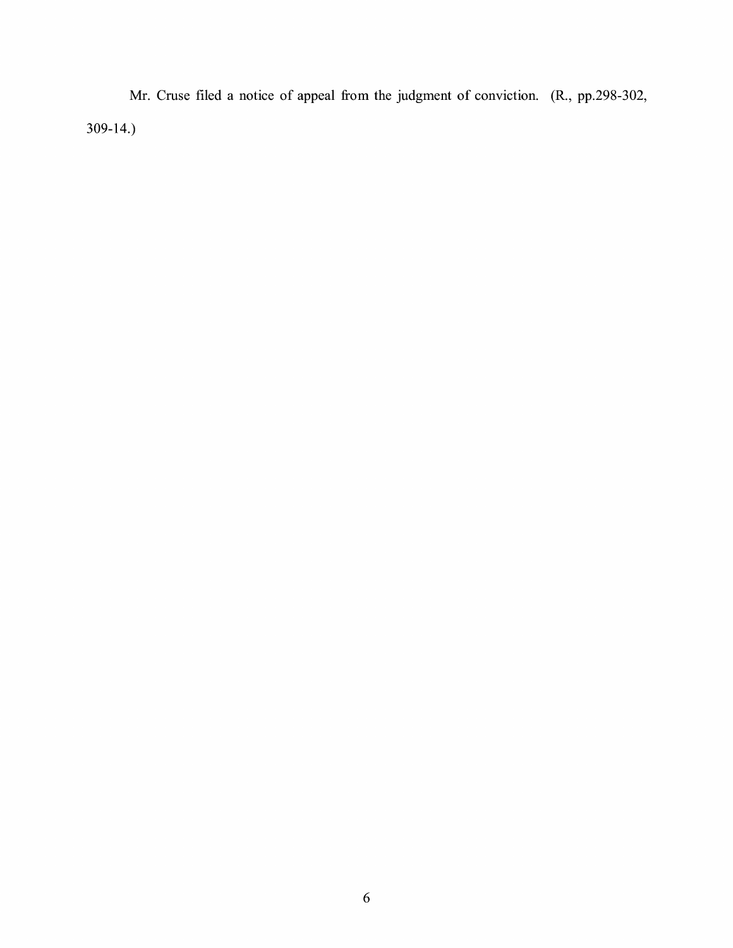Mr. Cruse filed a notice of appeal from the judgment of conviction. (R., pp.298-302, 309-14.)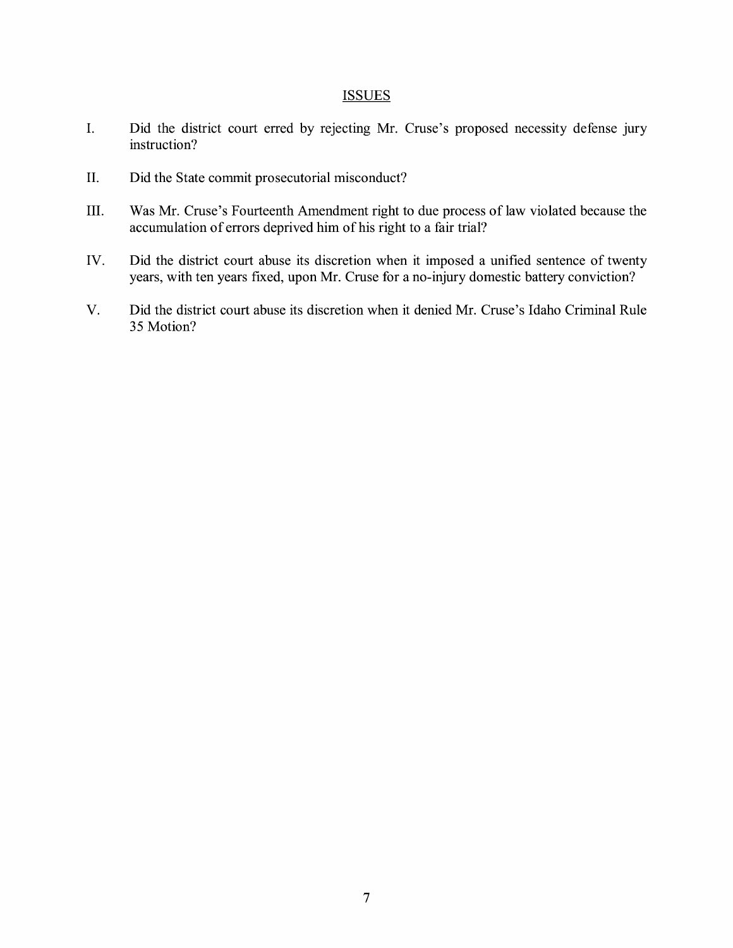## **ISSUES**

- I. Did the district court erred by rejecting Mr. Cruse's proposed necessity defense jury instruction?
- II. Did the State commit prosecutorial misconduct?
- III. Was Mr. Cruse's Fourteenth Amendment right to due process of law violated because the accumulation of errors deprived him of his right to a fair trial?
- IV. Did the district court abuse its discretion when it imposed a unified sentence of twenty years, with ten years fixed, upon Mr. Cruse for a no-injury domestic battery conviction?
- V. Did the district court abuse its discretion when it denied Mr. Cruse's Idaho Criminal Rule 35 Motion?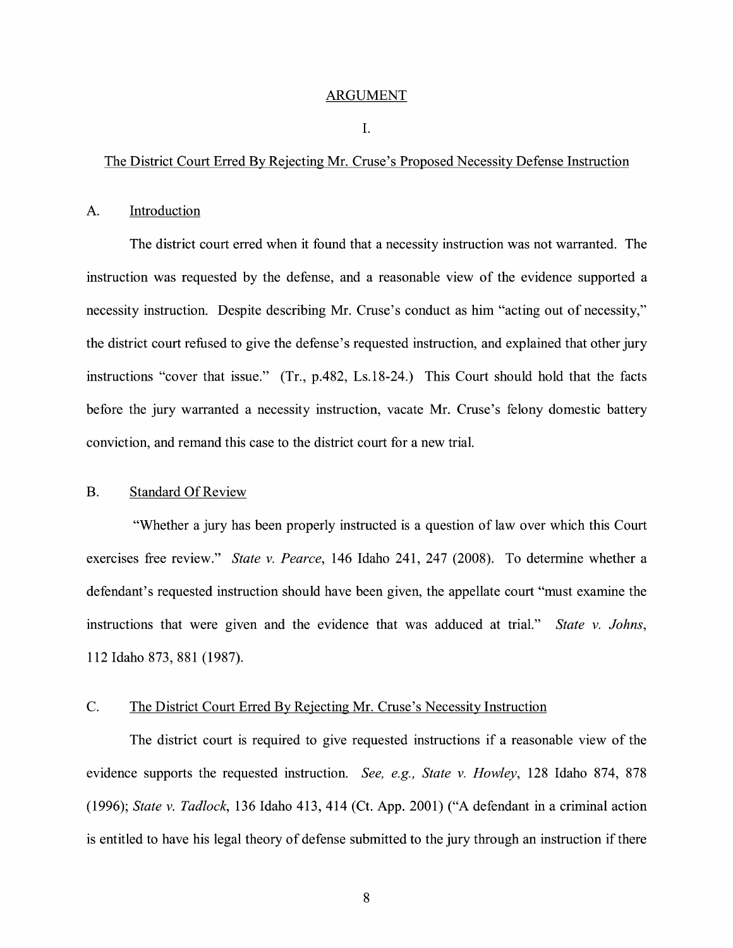#### ARGUMENT

#### I.

### The District Court Erred By Rejecting Mr. Cruse's Proposed Necessity Defense Instruction

#### A. Introduction

The district court erred when it found that a necessity instruction was not warranted. The instruction was requested by the defense, and a reasonable view of the evidence supported a necessity instruction. Despite describing Mr. Cruse's conduct as him "acting out of necessity," the district court refused to give the defense's requested instruction, and explained that other jury instructions "cover that issue." (Tr., p.482, Ls.18-24.) This Court should hold that the facts before the jury warranted a necessity instruction, vacate Mr. Cruse's felony domestic battery conviction, and remand this case to the district court for a new trial.

### B. Standard Of Review

"Whether a jury has been properly instructed is a question of law over which this Court exercises free review." *State v. Pearce,* 146 Idaho 241, 247 (2008). To determine whether a defendant's requested instruction should have been given, the appellate court "must examine the instructions that were given and the evidence that was adduced at trial." *State v. Johns,*  112 Idaho 873, 881 (1987).

# C. The District Court Erred By Rejecting Mr. Cruse's Necessity Instruction

The district court is required to give requested instructions if a reasonable view of the evidence supports the requested instruction. *See, e.g., State v. Howley,* 128 Idaho 874, 878 (1996); *State v. Tadlock,* 136 Idaho 413, 414 (Ct. App. 2001) ("A defendant in a criminal action is entitled to have his legal theory of defense submitted to the jury through an instruction if there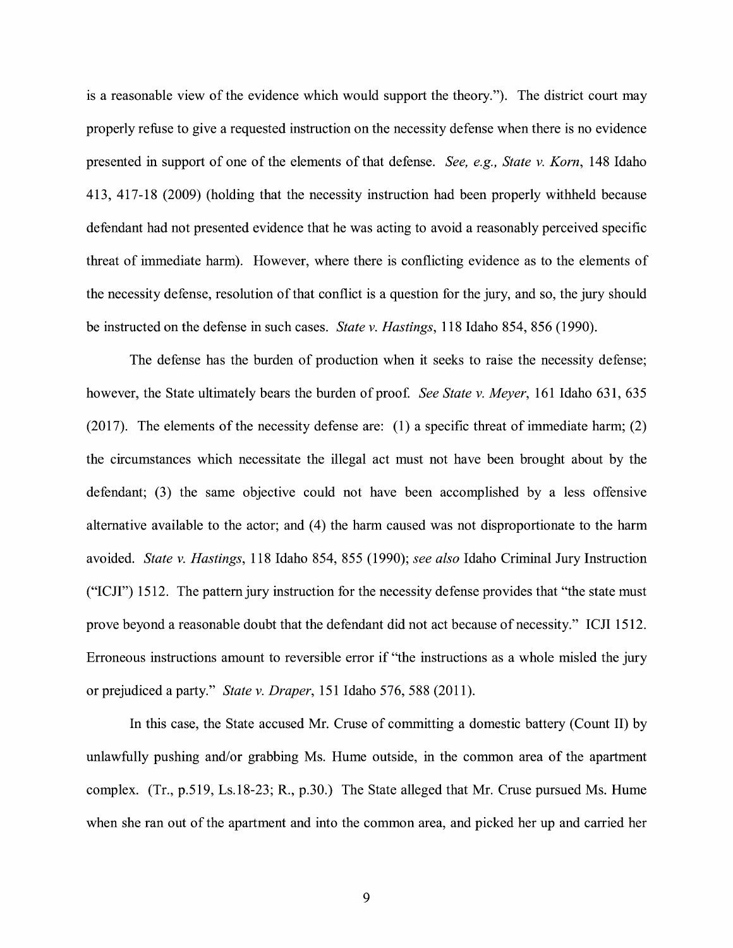is a reasonable view of the evidence which would support the theory."). The district court may properly refuse to give a requested instruction on the necessity defense when there is no evidence presented in support of one of the elements of that defense. *See, e.g., State v. Korn,* 148 Idaho 413, 417-18 (2009) (holding that the necessity instruction had been properly withheld because defendant had not presented evidence that he was acting to avoid a reasonably perceived specific threat of immediate harm). However, where there is conflicting evidence as to the elements of the necessity defense, resolution of that conflict is a question for the jury, and so, the jury should be instructed on the defense in such cases. *State v. Hastings,* 118 Idaho 854, 856 (1990).

The defense has the burden of production when it seeks to raise the necessity defense; however, the State ultimately bears the burden of proof. See State v. Meyer, 161 Idaho 631, 635 (2017). The elements of the necessity defense are: (1) a specific threat of immediate harm; (2) the circumstances which necessitate the illegal act must not have been brought about by the defendant; (3) the same objective could not have been accomplished by a less offensive alternative available to the actor; and (4) the harm caused was not disproportionate to the harm avoided. *State v. Hastings,* 118 Idaho 854, 855 (1990); *see also* Idaho Criminal Jury Instruction ("ICJI") 1512. The pattern jury instruction for the necessity defense provides that "the state must prove beyond a reasonable doubt that the defendant did not act because of necessity." ICJI 1512. Erroneous instructions amount to reversible error if "the instructions as a whole misled the jury or prejudiced a party." *State v. Draper,* 151 Idaho 576, 588 (2011).

In this case, the State accused Mr. Cruse of committing a domestic battery (Count II) by unlawfully pushing and/or grabbing Ms. Hume outside, in the common area of the apartment complex. (Tr., p.519, Ls.18-23; R., p.30.) The State alleged that Mr. Cruse pursued Ms. Hume when she ran out of the apartment and into the common area, and picked her up and carried her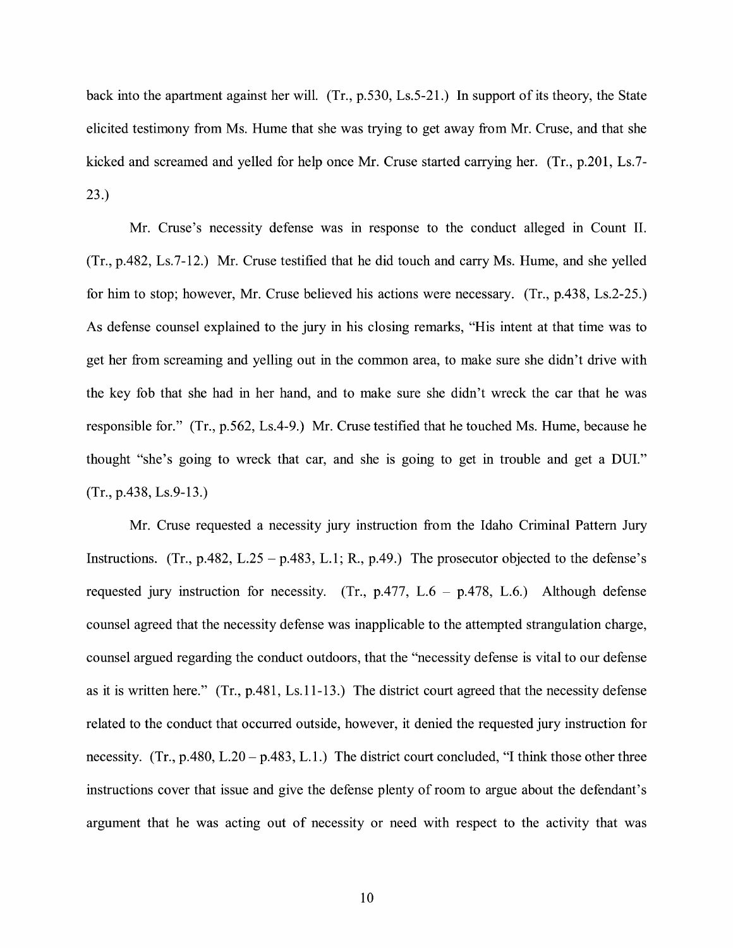back into the apartment against her will. (Tr., p.530, Ls.5-21.) In support of its theory, the State elicited testimony from Ms. Hume that she was trying to get away from Mr. Cruse, and that she kicked and screamed and yelled for help once Mr. Cruse started carrying her. (Tr., p.201, Ls.7- 23.)

Mr. Cruse's necessity defense was in response to the conduct alleged in Count II. (Tr., p.482, Ls.7-12.) Mr. Cruse testified that he did touch and carry Ms. Hume, and she yelled for him to stop; however, Mr. Cruse believed his actions were necessary. (Tr., p.438, Ls.2-25.) As defense counsel explained to the jury in his closing remarks, "His intent at that time was to get her from screaming and yelling out in the common area, to make sure she didn't drive with the key fob that she had in her hand, and to make sure she didn't wreck the car that he was responsible for." (Tr., p.562, Ls.4-9.) Mr. Cruse testified that he touched Ms. Hume, because he thought "she's going to wreck that car, and she is going to get in trouble and get a DUI." (Tr., p.438, Ls.9-13.)

Mr. Cruse requested a necessity jury instruction from the Idaho Criminal Pattern Jury Instructions. (Tr., p.482, L.25 – p.483, L.1; R., p.49.) The prosecutor objected to the defense's requested jury instruction for necessity. (Tr.,  $p.477$ ,  $L.6 - p.478$ ,  $L.6$ .) Although defense counsel agreed that the necessity defense was inapplicable to the attempted strangulation charge, counsel argued regarding the conduct outdoors, that the "necessity defense is vital to our defense as it is written here." (Tr., p.481, Ls.11-13.) The district court agreed that the necessity defense related to the conduct that occurred outside, however, it denied the requested jury instruction for necessity.  $(Tr., p.480, L.20 - p.483, L.1.)$  The district court concluded, "I think those other three instructions cover that issue and give the defense plenty of room to argue about the defendant's argument that he was acting out of necessity or need with respect to the activity that was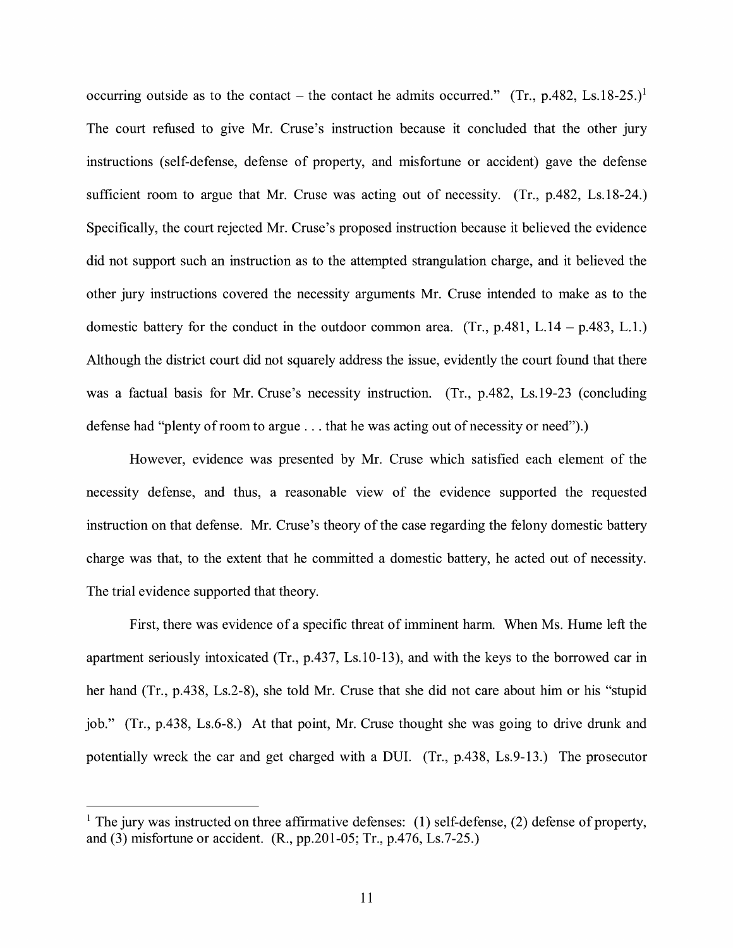occurring outside as to the contact – the contact he admits occurred." (Tr., p.482, Ls.18-25.)<sup>1</sup> The court refused to give Mr. Cruse's instruction because it concluded that the other jury instructions (self-defense, defense of property, and misfortune or accident) gave the defense sufficient room to argue that Mr. Cruse was acting out of necessity. (Tr., p.482, Ls.18-24.) Specifically, the court rejected Mr. Cruse's proposed instruction because it believed the evidence did not support such an instruction as to the attempted strangulation charge, and it believed the other jury instructions covered the necessity arguments Mr. Cruse intended to make as to the domestic battery for the conduct in the outdoor common area. (Tr.,  $p.481$ , L.14 -  $p.483$ , L.1.) Although the district court did not squarely address the issue, evidently the court found that there was a factual basis for Mr. Cruse's necessity instruction. (Tr., p.482, Ls.19-23 (concluding defense had "plenty of room to argue ... that he was acting out of necessity or need").)

However, evidence was presented by Mr. Cruse which satisfied each element of the necessity defense, and thus, a reasonable view of the evidence supported the requested instruction on that defense. Mr. Cruse's theory of the case regarding the felony domestic battery charge was that, to the extent that he committed a domestic battery, he acted out of necessity. The trial evidence supported that theory.

First, there was evidence of a specific threat of imminent harm. When Ms. Hume left the apartment seriously intoxicated (Tr., p.437, Ls.10-13), and with the keys to the borrowed car in her hand (Tr., p.438, Ls.2-8), she told Mr. Cruse that she did not care about him or his "stupid job." (Tr., p.438, Ls.6-8.) At that point, Mr. Cruse thought she was going to drive drunk and potentially wreck the car and get charged with a DUI. (Tr., p.438, Ls.9-13.) The prosecutor

<sup>&</sup>lt;sup>1</sup> The jury was instructed on three affirmative defenses: (1) self-defense, (2) defense of property, and (3) misfortune or accident. (R., pp.201-05; Tr., p.476, Ls.7-25.)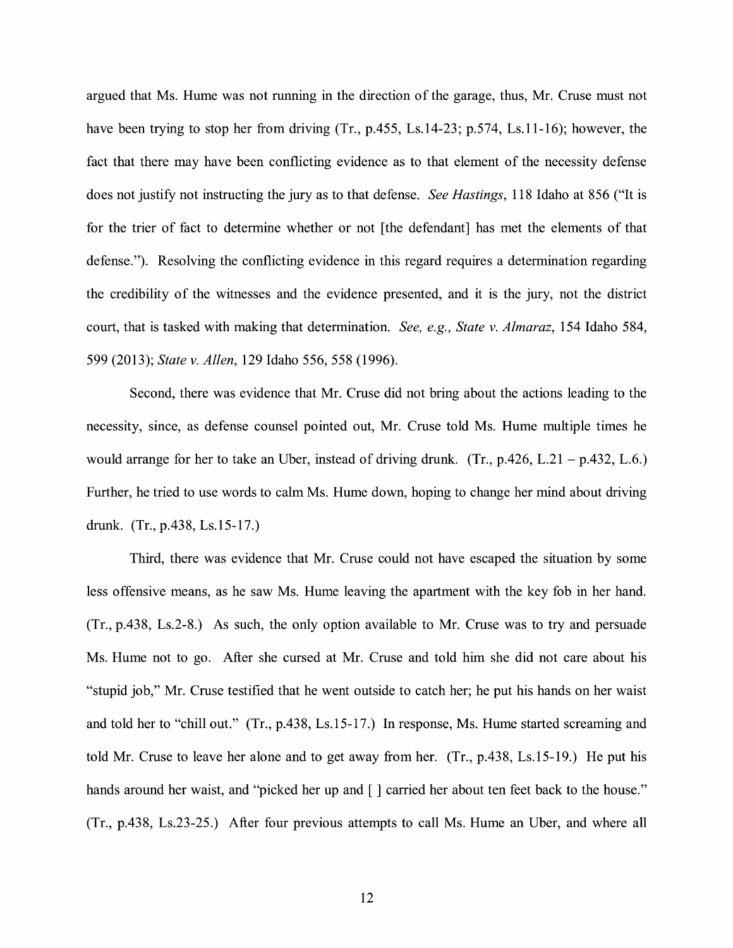argued that Ms. Hume was not running in the direction of the garage, thus, Mr. Cruse must not have been trying to stop her from driving (Tr., p.455, Ls.14-23; p.574, Ls.11-16); however, the fact that there may have been conflicting evidence as to that element of the necessity defense does not justify not instructing the jury as to that defense. *See Hastings,* 118 Idaho at 856 ("It is for the trier of fact to determine whether or not [the defendant] has met the elements of that defense."). Resolving the conflicting evidence in this regard requires a determination regarding the credibility of the witnesses and the evidence presented, and it is the jury, not the district court, that is tasked with making that determination. *See, e.g., State v. Almaraz,* 154 Idaho 584, 599 (2013); *State v. Allen,* 129 Idaho 556, 558 (1996).

Second, there was evidence that Mr. Cruse did not bring about the actions leading to the necessity, since, as defense counsel pointed out, Mr. Cruse told Ms. Hume multiple times he would arrange for her to take an Uber, instead of driving drunk. (Tr.,  $p.426$ , L.21 -  $p.432$ , L.6.) Further, he tried to use words to calm Ms. Hume down, hoping to change her mind about driving drunk. (Tr., p.438, Ls.15-17.)

Third, there was evidence that Mr. Cruse could not have escaped the situation by some less offensive means, as he saw Ms. Hume leaving the apartment with the key fob in her hand. (Tr., p.438, Ls.2-8.) As such, the only option available to Mr. Cruse was to try and persuade Ms. Hume not to go. After she cursed at Mr. Cruse and told him she did not care about his "stupid job," Mr. Cruse testified that he went outside to catch her; he put his hands on her waist and told her to "chill out." (Tr., p.438, Ls.15-17.) In response, Ms. Hume started screaming and told Mr. Cruse to leave her alone and to get away from her. (Tr., p.438, Ls.15-19.) He put his hands around her waist, and "picked her up and  $\lceil \cdot \rceil$  carried her about ten feet back to the house." (Tr., p.438, Ls.23-25.) After four previous attempts to call Ms. Hume an Uber, and where all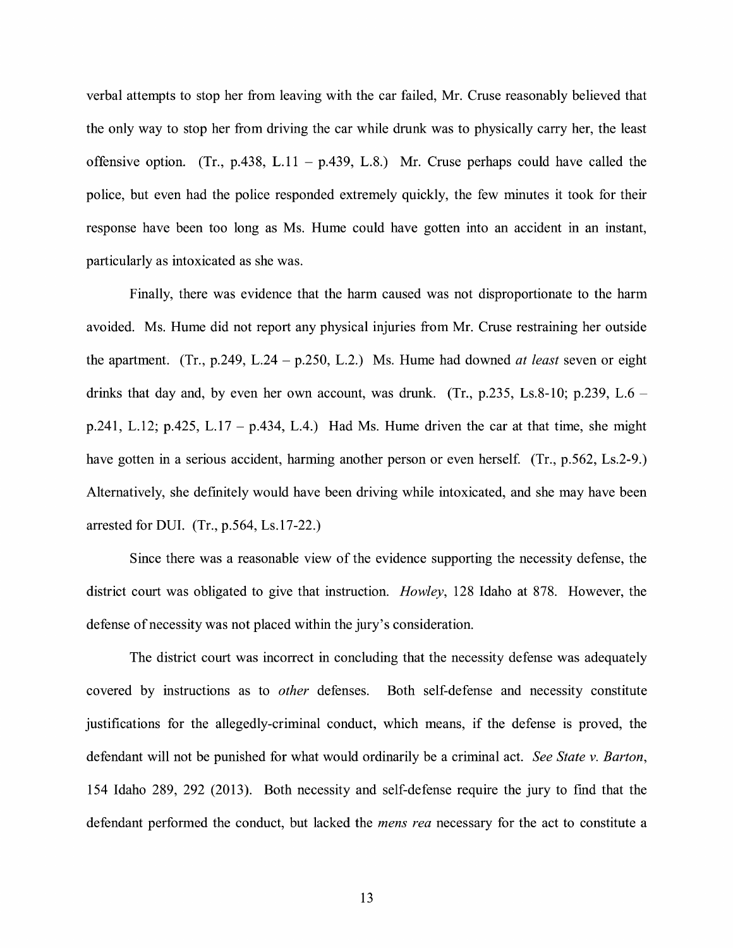verbal attempts to stop her from leaving with the car failed, Mr. Cruse reasonably believed that the only way to stop her from driving the car while drunk was to physically carry her, the least offensive option. (Tr., p.438, L.11 - p.439, L.8.) Mr. Cruse perhaps could have called the police, but even had the police responded extremely quickly, the few minutes it took for their response have been too long as Ms. Hume could have gotten into an accident in an instant, particularly as intoxicated as she was.

Finally, there was evidence that the harm caused was not disproportionate to the harm avoided. Ms. Hume did not report any physical injuries from Mr. Cruse restraining her outside the apartment. (Tr., p.249, L.24 - p.250, L.2.) Ms. Hume had downed *at least* seven or eight drinks that day and, by even her own account, was drunk. (Tr.,  $p.235$ , Ls.8-10;  $p.239$ , L.6 – p.241, L.12; p.425, L.17 – p.434, L.4.) Had Ms. Hume driven the car at that time, she might have gotten in a serious accident, harming another person or even herself. (Tr., p.562, Ls.2-9.) Alternatively, she definitely would have been driving while intoxicated, and she may have been arrested for DUI. (Tr., p.564, Ls.17-22.)

Since there was a reasonable view of the evidence supporting the necessity defense, the district court was obligated to give that instruction. *Howley,* 128 Idaho at 878. However, the defense of necessity was not placed within the jury's consideration.

The district court was incorrect in concluding that the necessity defense was adequately covered by instructions as to *other* defenses. Both self-defense and necessity constitute justifications for the allegedly-criminal conduct, which means, if the defense is proved, the defendant will not be punished for what would ordinarily be a criminal act. *See State v. Barton,*  154 Idaho 289, 292 (2013). Both necessity and self-defense require the jury to find that the defendant performed the conduct, but lacked the *mens rea* necessary for the act to constitute a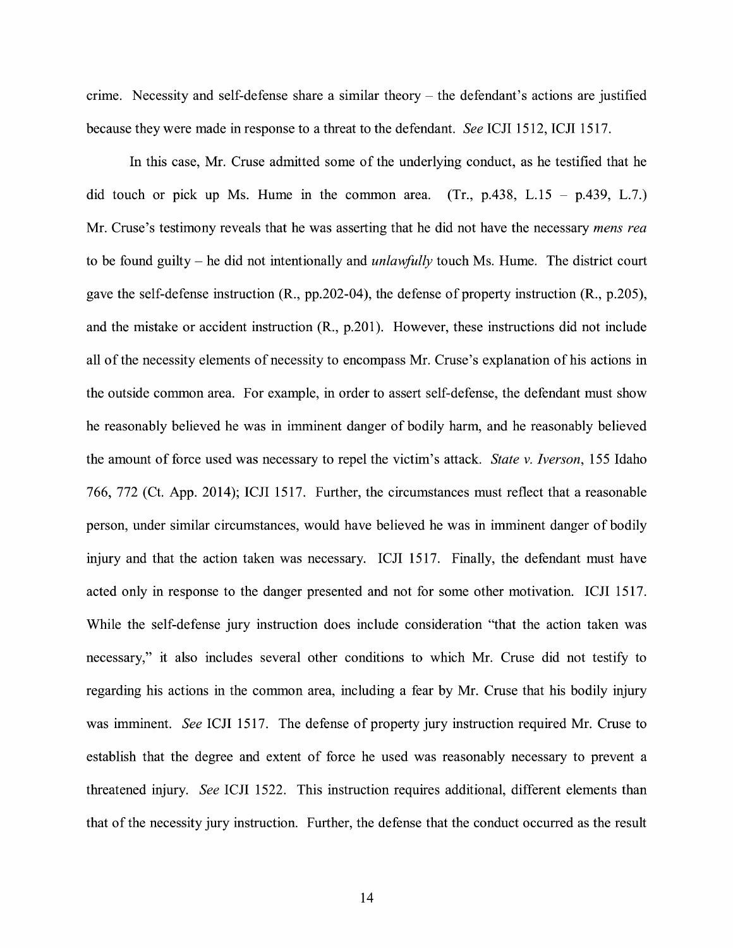crime. Necessity and self-defense share a similar theory  $-$  the defendant's actions are justified because they were made in response to a threat to the defendant. *See* ICJI 1512, ICJI 1517.

In this case, Mr. Cruse admitted some of the underlying conduct, as he testified that he did touch or pick up Ms. Hume in the common area.  $(Tr, p.438, L.15 - p.439, L.7.)$ Mr. Cruse's testimony reveals that he was asserting that he did not have the necessary *mens rea*  to be found guilty - he did not intentionally and *unlawfully* touch Ms. Hume. The district court gave the self-defense instruction (R., pp.202-04), the defense of property instruction (R., p.205), and the mistake or accident instruction (R., p.201). However, these instructions did not include all of the necessity elements of necessity to encompass Mr. Cruse's explanation of his actions in the outside common area. For example, in order to assert self-defense, the defendant must show he reasonably believed he was in imminent danger of bodily harm, and he reasonably believed the amount of force used was necessary to repel the victim's attack. *State v. Iverson,* 155 Idaho 766, 772 (Ct. App. 2014); ICJI 1517. Further, the circumstances must reflect that a reasonable person, under similar circumstances, would have believed he was in imminent danger of bodily injury and that the action taken was necessary. ICJI 1517. Finally, the defendant must have acted only in response to the danger presented and not for some other motivation. ICJI 1517. While the self-defense jury instruction does include consideration "that the action taken was necessary," it also includes several other conditions to which Mr. Cruse did not testify to regarding his actions in the common area, including a fear by Mr. Cruse that his bodily injury was imminent. *See* ICJI 1517. The defense of property jury instruction required Mr. Cruse to establish that the degree and extent of force he used was reasonably necessary to prevent a threatened injury. *See* ICJI 1522. This instruction requires additional, different elements than that of the necessity jury instruction. Further, the defense that the conduct occurred as the result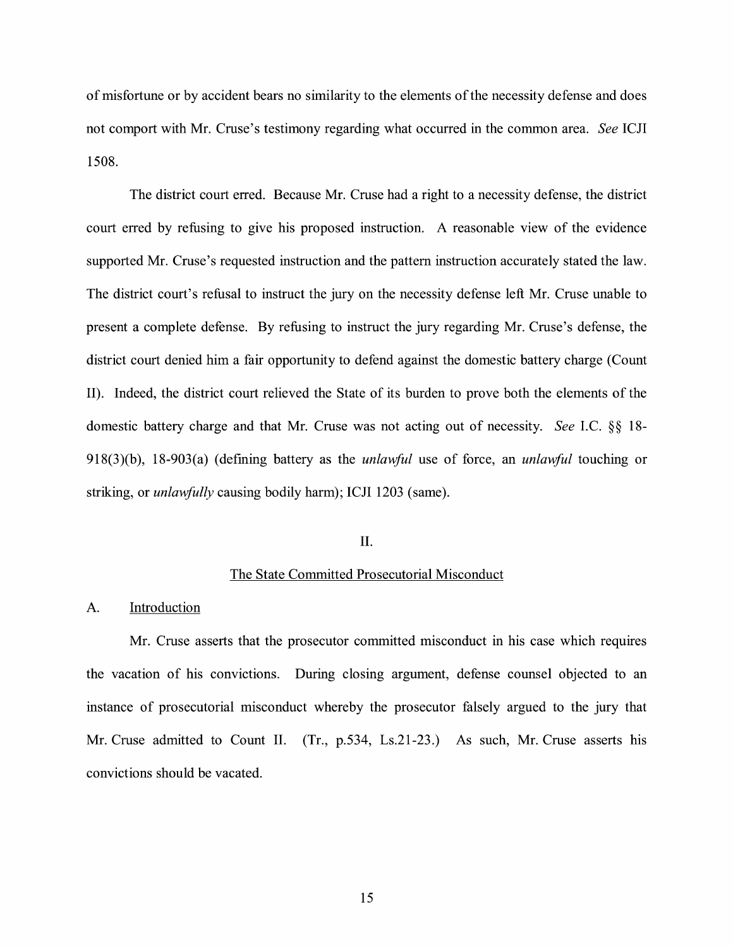of misfortune or by accident bears no similarity to the elements of the necessity defense and does not comport with Mr. Cruse's testimony regarding what occurred in the common area. *See* ICJI 1508.

The district court erred. Because Mr. Cruse had a right to a necessity defense, the district court erred by refusing to give his proposed instruction. A reasonable view of the evidence supported Mr. Cruse's requested instruction and the pattern instruction accurately stated the law. The district court's refusal to instruct the jury on the necessity defense left Mr. Cruse unable to present a complete defense. By refusing to instruct the jury regarding Mr. Cruse's defense, the district court denied him a fair opportunity to defend against the domestic battery charge (Count II). Indeed, the district court relieved the State of its burden to prove both the elements of the domestic battery charge and that Mr. Cruse was not acting out of necessity. *See* I.C. §§ 18- 918(3)(b), 18-903(a) (defining battery as the *unlmiful* use of force, an *unlawful* touching or striking, or *unlawfully* causing bodily harm); ICJI 1203 (same).

#### II.

### The State Committed Prosecutorial Misconduct

#### A. Introduction

Mr. Cruse asserts that the prosecutor committed misconduct in his case which requires the vacation of his convictions. During closing argument, defense counsel objected to an instance of prosecutorial misconduct whereby the prosecutor falsely argued to the jury that Mr. Cruse admitted to Count II. (Tr., p.534, Ls.21-23.) As such, Mr. Cruse asserts his convictions should be vacated.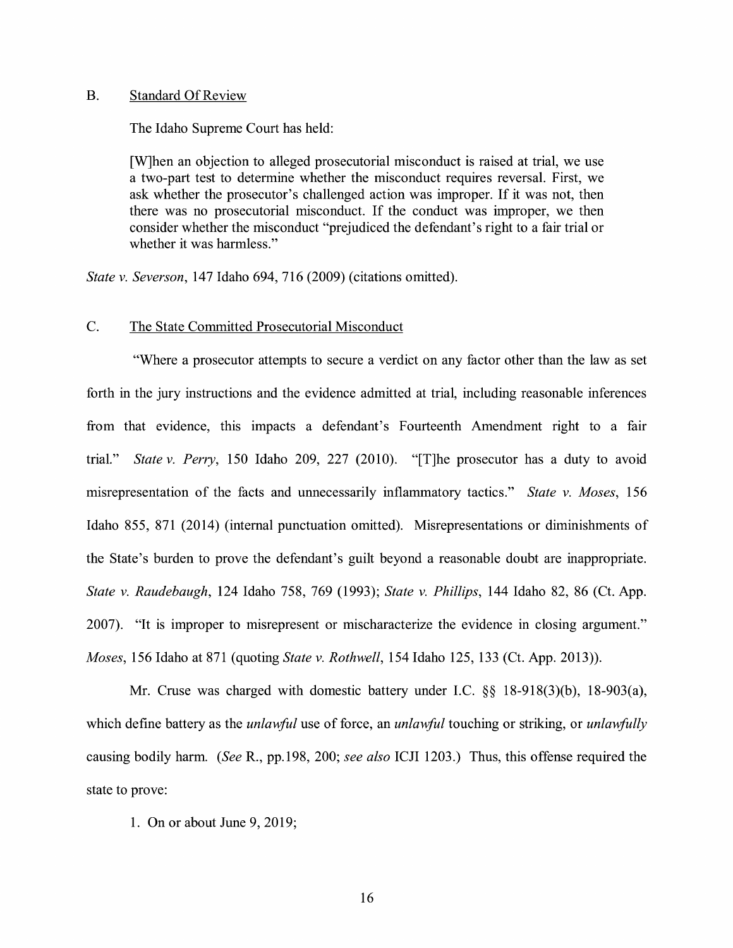#### B. Standard Of Review

The Idaho Supreme Court has held:

[W]hen an objection to alleged prosecutorial misconduct is raised at trial, we use a two-part test to determine whether the misconduct requires reversal. First, we ask whether the prosecutor's challenged action was improper. If it was not, then there was no prosecutorial misconduct. If the conduct was improper, we then consider whether the misconduct "prejudiced the defendant's right to a fair trial or whether it was harmless."

*State v. Severson, 147 Idaho 694, 716 (2009) (citations omitted).* 

#### C. The State Committed Prosecutorial Misconduct

"Where a prosecutor attempts to secure a verdict on any factor other than the law as set forth in the jury instructions and the evidence admitted at trial, including reasonable inferences from that evidence, this impacts a defendant's Fourteenth Amendment right to a fair trial." *State v. Perry,* 150 Idaho 209, 227 (2010). "[T]he prosecutor has a duty to avoid misrepresentation of the facts and unnecessarily inflammatory tactics." *State v. Moses,* 156 Idaho 855, 871 (2014) (internal punctuation omitted). Misrepresentations or diminishments of the State's burden to prove the defendant's guilt beyond a reasonable doubt are inappropriate. *State v. Raudebaugh,* 124 Idaho 758, 769 (1993); *State v. Phillips,* 144 Idaho 82, 86 (Ct. App. 2007). "It is improper to misrepresent or mischaracterize the evidence in closing argument." *Moses,* 156 Idaho at 871 (quoting *State v. Rothwell,* 154 Idaho 125, 133 (Ct. App. 2013)).

Mr. Cruse was charged with domestic battery under LC. §§ 18-918(3)(b), 18-903(a), which define battery as the *unlawful* use of force, an *unlawful* touching or striking, or *unlawfully*  causing bodily harm. *(See* R., pp.198, 200; *see also* ICJI 1203.) Thus, this offense required the state to prove:

1. On or about June 9, 2019;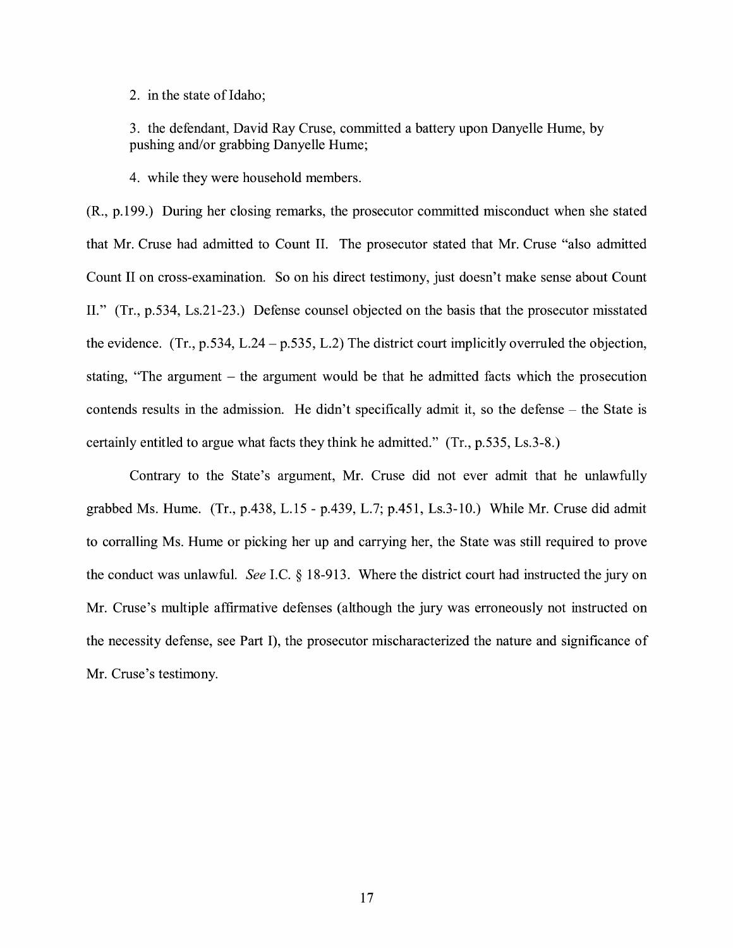2. in the state of Idaho;

3. the defendant, David Ray Cruse, committed a battery upon Danyelle Hume, by pushing and/or grabbing Danyelle Hume;

4. while they were household members.

(R., p.199.) During her closing remarks, the prosecutor committed misconduct when she stated that Mr. Cruse had admitted to Count II. The prosecutor stated that Mr. Cruse "also admitted Count II on cross-examination. So on his direct testimony, just doesn't make sense about Count II." (Tr., p.534, Ls.21-23.) Defense counsel objected on the basis that the prosecutor misstated the evidence.  $(Tr, p.534, L.24 - p.535, L.2)$  The district court implicitly overruled the objection, stating, "The argument - the argument would be that he admitted facts which the prosecution contends results in the admission. He didn't specifically admit it, so the defense – the State is certainly entitled to argue what facts they think he admitted." (Tr., p.535, Ls.3-8.)

Contrary to the State's argument, Mr. Cruse did not ever admit that he unlawfully grabbed Ms. Hume. (Tr., p.438, L.15 - p.439, L.7; p.451, Ls.3-10.) While Mr. Cruse did admit to corralling Ms. Hume or picking her up and carrying her, the State was still required to prove the conduct was unlawful. *See* LC. § 18-913. Where the district court had instructed the jury on Mr. Cruse's multiple affirmative defenses (although the jury was erroneously not instructed on the necessity defense, see Part I), the prosecutor mischaracterized the nature and significance of Mr. Cruse's testimony.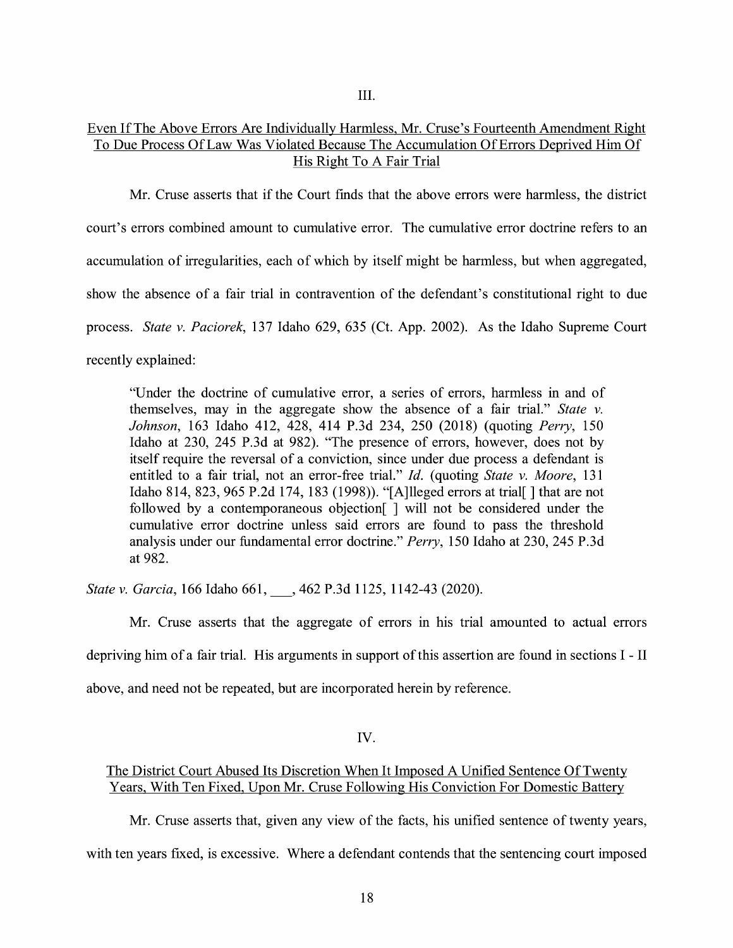III.

# Even If The Above Errors Are Individually Harmless, Mr. Cruse's Fourteenth Amendment Right To Due Process Of Law Was Violated Because The Accumulation Of Errors Deprived Him Of His Right To A Fair Trial

Mr. Cruse asserts that if the Court finds that the above errors were harmless, the district court's errors combined amount to cumulative error. The cumulative error doctrine refers to an accumulation of irregularities, each of which by itself might be harmless, but when aggregated, show the absence of a fair trial in contravention of the defendant's constitutional right to due process. *State v. Paciorek,* 137 Idaho 629, 635 (Ct. App. 2002). As the Idaho Supreme Court recently explained:

"Under the doctrine of cumulative error, a series of errors, harmless in and of themselves, may in the aggregate show the absence of a fair trial." *State v. Johnson,* 163 Idaho 412, 428, 414 P.3d 234, 250 (2018) (quoting *Perry,* 150 Idaho at 230, 245 P.3d at 982). "The presence of errors, however, does not by itself require the reversal of a conviction, since under due process a defendant is entitled to a fair trial, not an error-free trial." *Id.* (quoting *State v. Moore*, 131 Idaho 814, 823, 965 P.2d 174, 183 (1998)). "[A]lleged errors at trial[] that are not followed by a contemporaneous objection[ ] will not be considered under the cumulative error doctrine unless said errors are found to pass the threshold analysis under our fundamental error doctrine." *Perry,* 150 Idaho at 230, 245 P.3d at 982.

*State v. Garcia,* 166 Idaho 661, \_, 462 P.3d 1125, 1142-43 (2020).

Mr. Cruse asserts that the aggregate of errors in his trial amounted to actual errors depriving him of a fair trial. His arguments in support of this assertion are found in sections I - II above, and need not be repeated, but are incorporated herein by reference.

IV.

# The District Court Abused Its Discretion When It Imposed A Unified Sentence Of Twenty Years, With Ten Fixed, Upon Mr. Cruse Following His Conviction For Domestic Battery

Mr. Cruse asserts that, given any view of the facts, his unified sentence of twenty years,

with ten years fixed, is excessive. Where a defendant contends that the sentencing court imposed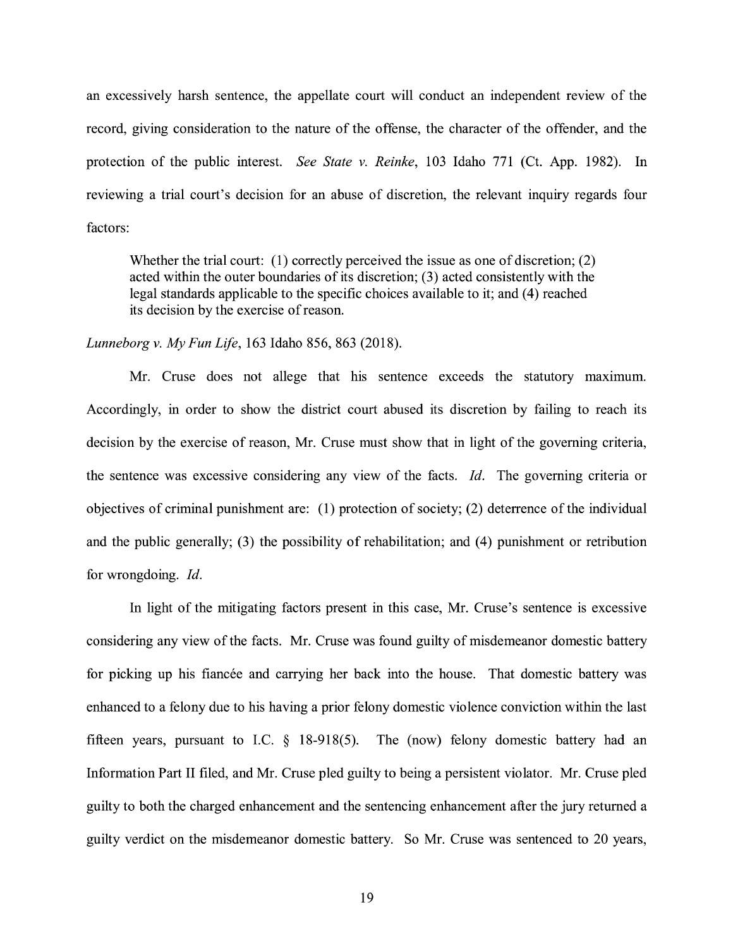an excessively harsh sentence, the appellate court will conduct an independent review of the record, giving consideration to the nature of the offense, the character of the offender, and the protection of the public interest. *See State v. Reinke,* 103 Idaho 771 (Ct. App. 1982). In reviewing a trial court's decision for an abuse of discretion, the relevant inquiry regards four factors:

Whether the trial court:  $(1)$  correctly perceived the issue as one of discretion;  $(2)$ acted within the outer boundaries of its discretion; (3) acted consistently with the legal standards applicable to the specific choices available to it; and (4) reached its decision by the exercise of reason.

### *Lunneborg v. My Fun Life,* 163 Idaho 856, 863 (2018).

Mr. Cruse does not allege that his sentence exceeds the statutory maximum. Accordingly, in order to show the district court abused its discretion by failing to reach its decision by the exercise of reason, Mr. Cruse must show that in light of the governing criteria, the sentence was excessive considering any view of the facts. *Id.* The governing criteria or objectives of criminal punishment are: (1) protection of society; (2) deterrence of the individual and the public generally; (3) the possibility of rehabilitation; and (4) punishment or retribution for wrongdoing. Id.

In light of the mitigating factors present in this case, Mr. Cruse's sentence is excessive considering any view of the facts. Mr. Cruse was found guilty of misdemeanor domestic battery for picking up his fiancée and carrying her back into the house. That domestic battery was enhanced to a felony due to his having a prior felony domestic violence conviction within the last fifteen years, pursuant to I.C.  $\S$  18-918(5). The (now) felony domestic battery had an Information Part II filed, and Mr. Cruse pled guilty to being a persistent violator. Mr. Cruse pled guilty to both the charged enhancement and the sentencing enhancement after the jury returned a guilty verdict on the misdemeanor domestic battery. So Mr. Cruse was sentenced to 20 years,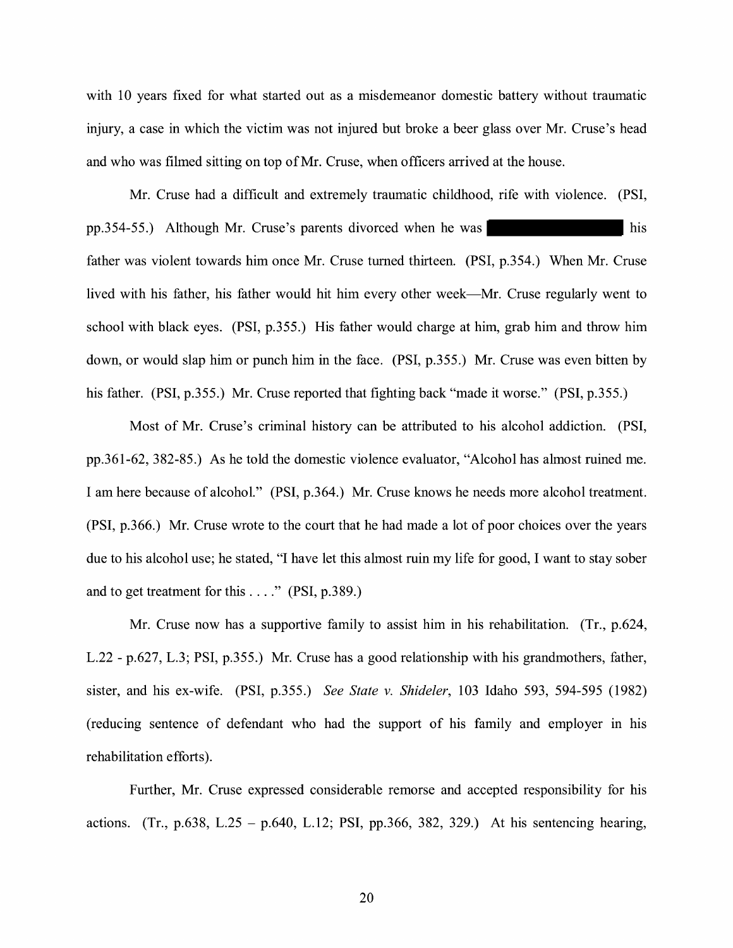with 10 years fixed for what started out as a misdemeanor domestic battery without traumatic injury, a case in which the victim was not injured but broke a beer glass over Mr. Cruse's head and who was filmed sitting on top of Mr. Cruse, when officers arrived at the house.

Mr. Cruse had a difficult and extremely traumatic childhood, rife with violence. (PSI, pp.354-55.) Although Mr. Cruse's parents divorced when he was his father was violent towards him once Mr. Cruse turned thirteen. (PSI, p.354.) When Mr. Cruse lived with his father, his father would hit him every other week—Mr. Cruse regularly went to school with black eyes. (PSI, p.355.) His father would charge at him, grab him and throw him down, or would slap him or punch him in the face. (PSI, p.355.) Mr. Cruse was even bitten by his father. (PSI, p.355.) Mr. Cruse reported that fighting back "made it worse." (PSI, p.355.)

Most of Mr. Cruse's criminal history can be attributed to his alcohol addiction. (PSI, pp.361-62, 382-85.) As he told the domestic violence evaluator, "Alcohol has almost ruined me. I am here because of alcohol." (PSI, p.364.) Mr. Cruse knows he needs more alcohol treatment. (PSI, p.366.) Mr. Cruse wrote to the court that he had made a lot of poor choices over the years due to his alcohol use; he stated, "I have let this almost ruin my life for good, I want to stay sober and to get treatment for this  $\dots$ ." (PSI, p.389.)

Mr. Cruse now has a supportive family to assist him in his rehabilitation. (Tr., p.624, L.22 - p.627, L.3; PSI, p.355.) Mr. Cruse has a good relationship with his grandmothers, father, sister, and his ex-wife. **(PSI,** p.355.) *See State v. Shideler,* 103 Idaho 593, 594-595 (1982) (reducing sentence of defendant who had the support of his family and employer in his rehabilitation efforts).

Further, Mr. Cruse expressed considerable remorse and accepted responsibility for his actions. (Tr., p.638, L.25 - p.640, L.12; **PSI,** pp.366, 382, 329.) At his sentencing hearing,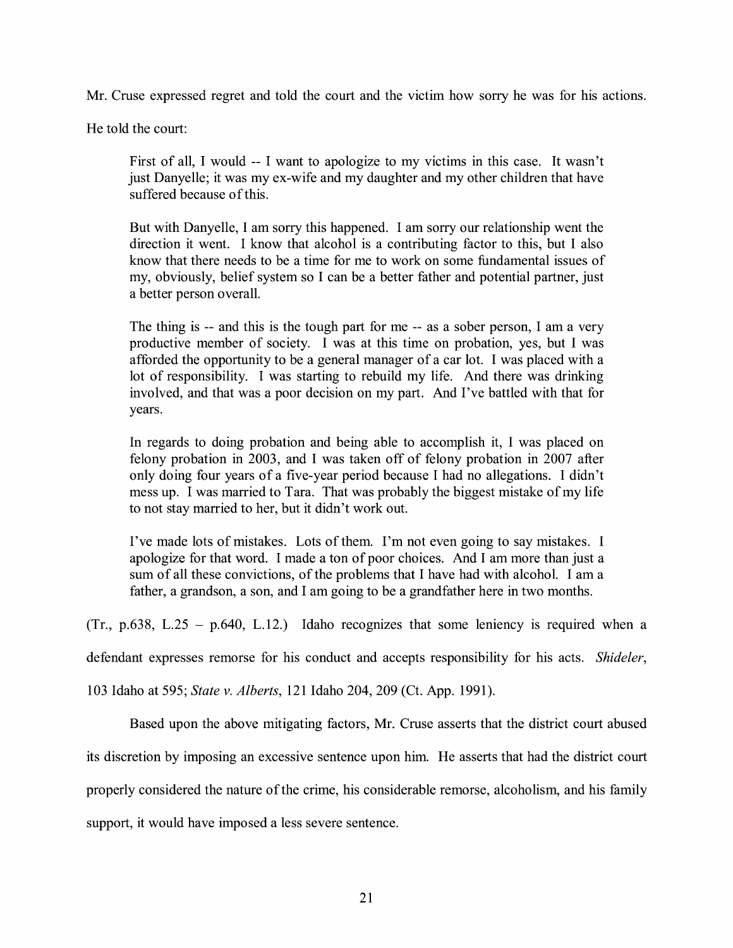Mr. Cruse expressed regret and told the court and the victim how sorry he was for his actions.

He told the court:

First of all, I would -- I want to apologize to my victims in this case. It wasn't just Danyelle; it was my ex-wife and my daughter and my other children that have suffered because of this.

But with Danyelle, I am sorry this happened. I am sorry our relationship went the direction it went. I know that alcohol is a contributing factor to this, but I also know that there needs to be a time for me to work on some fundamental issues of my, obviously, belief system so I can be a better father and potential partner, just a better person overall.

The thing is -- and this is the tough part for me -- as a sober person, I am a very productive member of society. I was at this time on probation, yes, but I was afforded the opportunity to be a general manager of a car lot. I was placed with a lot of responsibility. I was starting to rebuild my life. And there was drinking involved, and that was a poor decision on my part. And I've battled with that for years.

In regards to doing probation and being able to accomplish it, I was placed on felony probation in 2003, and I was taken off of felony probation in 2007 after only doing four years of a five-year period because I had no allegations. I didn't mess up. I was married to Tara. That was probably the biggest mistake of my life to not stay married to her, but it didn't work out.

I've made lots of mistakes. Lots of them. I'm not even going to say mistakes. I apologize for that word. I made a ton of poor choices. And I am more than just a sum of all these convictions, of the problems that I have had with alcohol. I am a father, a grandson, a son, and I am going to be a grandfather here in two months.

(Tr., p.638, L.25 - p.640, L.12.) Idaho recognizes that some leniency is required when a

defendant expresses remorse for his conduct and accepts responsibility for his acts. *Shideler,* 

103 Idaho at 595; *State v. Alberts,* 121 Idaho 204, 209 (Ct. App. 1991).

Based upon the above mitigating factors, Mr. Cruse asserts that the district court abused its discretion by imposing an excessive sentence upon him. He asserts that had the district court properly considered the nature of the crime, his considerable remorse, alcoholism, and his family support, it would have imposed a less severe sentence.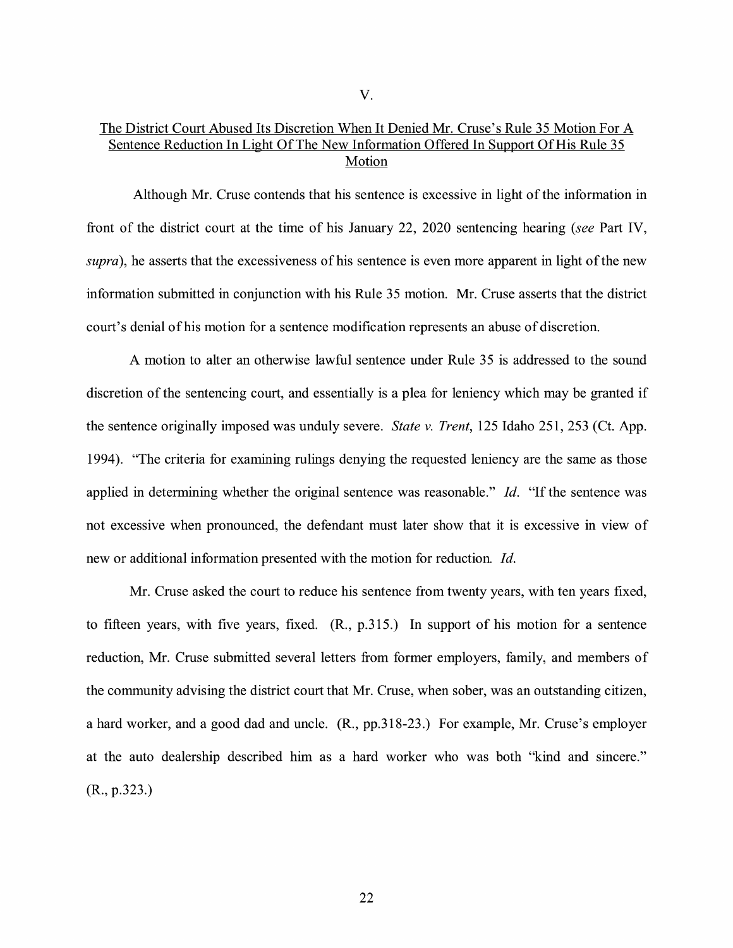## The District Court Abused Its Discretion When It Denied Mr. Cruse's Rule 35 Motion For A Sentence Reduction In Light Of The New Information Offered In Support Of His Rule 35 Motion

Although Mr. Cruse contends that his sentence is excessive in light of the information in front of the district court at the time of his January 22, 2020 sentencing hearing *(see* Part IV, *supra*), he asserts that the excessiveness of his sentence is even more apparent in light of the new information submitted in conjunction with his Rule 35 motion. Mr. Cruse asserts that the district court's denial of his motion for a sentence modification represents an abuse of discretion.

A motion to alter an otherwise lawful sentence under Rule 35 is addressed to the sound discretion of the sentencing court, and essentially is a plea for leniency which may be granted if the sentence originally imposed was unduly severe. *State v. Trent,* 125 Idaho 251, 253 (Ct. App. 1994). "The criteria for examining rulings denying the requested leniency are the same as those applied in determining whether the original sentence was reasonable." Id. "If the sentence was not excessive when pronounced, the defendant must later show that it is excessive in view of new or additional information presented with the motion for reduction. *Id.* 

Mr. Cruse asked the court to reduce his sentence from twenty years, with ten years fixed, to fifteen years, with five years, fixed. (R., p.315.) In support of his motion for a sentence reduction, Mr. Cruse submitted several letters from former employers, family, and members of the community advising the district court that Mr. Cruse, when sober, was an outstanding citizen, a hard worker, and a good dad and uncle. (R., pp.318-23.) For example, Mr. Cruse's employer at the auto dealership described him as a hard worker who was both "kind and sincere." (R., p.323.)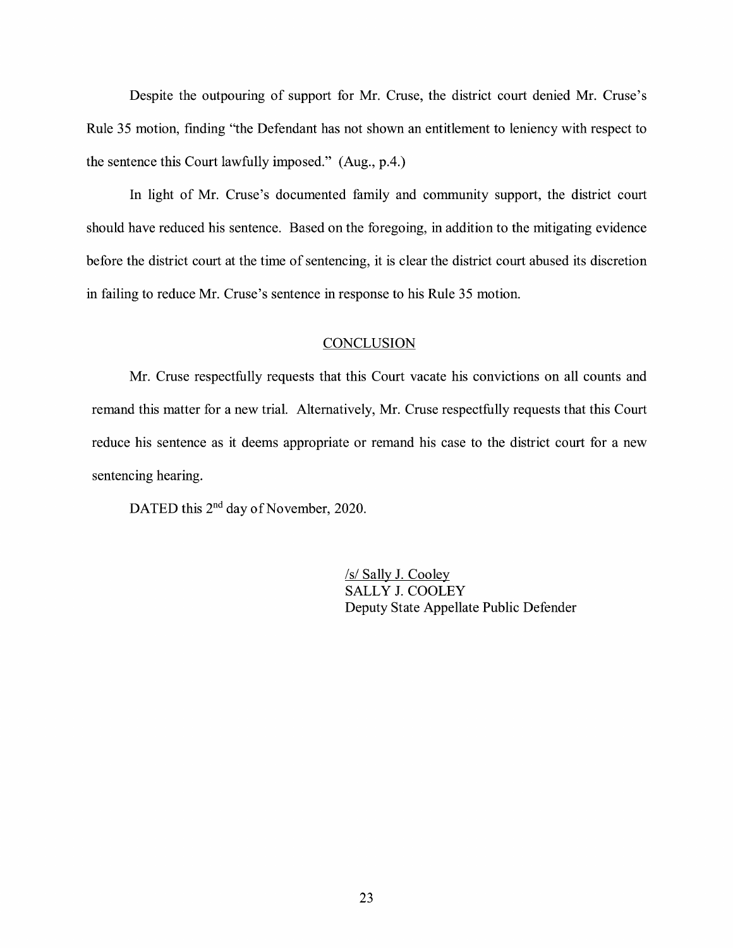Despite the outpouring of support for Mr. Cruse, the district court denied Mr. Cruse's Rule 35 motion, fmding "the Defendant has not shown an entitlement to leniency with respect to the sentence this Court lawfully imposed." (Aug., p.4.)

In light of Mr. Cruse's documented family and community support, the district court should have reduced his sentence. Based on the foregoing, in addition to the mitigating evidence before the district court at the time of sentencing, it is clear the district court abused its discretion in failing to reduce Mr. Cruse's sentence in response to his Rule 35 motion.

## **CONCLUSION**

Mr. Cruse respectfully requests that this Court vacate his convictions on all counts and remand this matter for a new trial. Alternatively, Mr. Cruse respectfully requests that this Court reduce his sentence as it deems appropriate or remand his case to the district court for a new sentencing hearing.

DATED this 2<sup>nd</sup> day of November, 2020.

/s/ Sally J. Cooley SALLY J. COOLEY Deputy State Appellate Public Defender